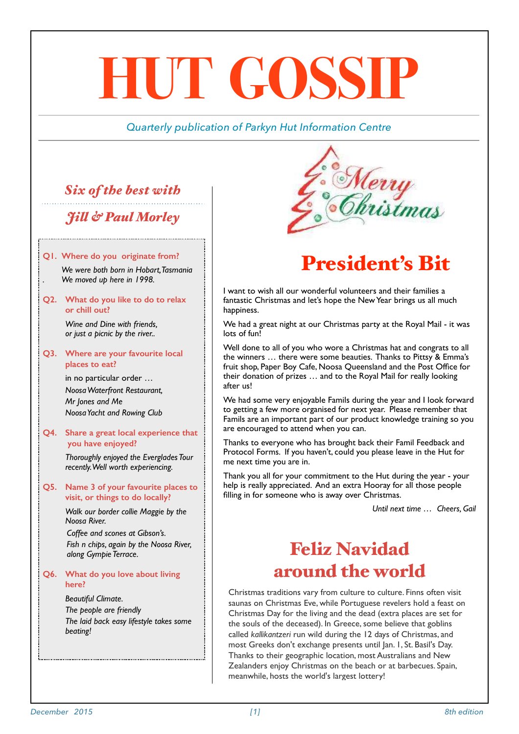# **HUT GOSSIP**

### *Quarterly publication of Parkyn Hut Information Centre*

# *Six of the best with*

## *Jil & Paul Morley*

### **Q1. Where do you originate from?**

*We were both born in Hobart, Tasmania . We moved up here in 1998.*

### **Q2. What do you like to do to relax or chill out?**

*Wine and Dine with friends, or just a picnic by the river..*

### **Q3. Where are your favourite local places to eat?**

in no particular order … *Noosa Waterfront Restaurant, Mr Jones and Me Noosa Yacht and Rowing Club*

### **Q4. Share a great local experience that you have enjoyed?**

*Thoroughly enjoyed the Everglades Tour recently. Well worth experiencing.*

### **Q5. Name 3 of your favourite places to visit, or things to do locally?**

*Walk our border collie Maggie by the Noosa River.*

*Coffee and scones at Gibson's. Fish n chips, again by the Noosa River, along Gympie Terrace.*

### **Q6. What do you love about living here?**

*Beautiful Climate. The people are friendly The laid back easy lifestyle takes some beating!*



# President's Bit

I want to wish all our wonderful volunteers and their families a fantastic Christmas and let's hope the New Year brings us all much happiness.

We had a great night at our Christmas party at the Royal Mail - it was lots of fun!

Well done to all of you who wore a Christmas hat and congrats to all the winners … there were some beauties. Thanks to Pittsy & Emma's fruit shop, Paper Boy Cafe, Noosa Queensland and the Post Office for their donation of prizes … and to the Royal Mail for really looking after us!

We had some very enjoyable Famils during the year and I look forward to getting a few more organised for next year. Please remember that Famils are an important part of our product knowledge training so you are encouraged to attend when you can.

Thanks to everyone who has brought back their Famil Feedback and Protocol Forms. If you haven't, could you please leave in the Hut for me next time you are in.

Thank you all for your commitment to the Hut during the year - your help is really appreciated. And an extra Hooray for all those people filling in for someone who is away over Christmas.

*Until next time … Cheers, Gail* 

# Feliz Navidad around the world

[Christmas traditions](http://content.time.com/time/photogallery/0,29307,1867819,00.html) vary from culture to culture. Finns often visit saunas on Christmas Eve, while Portuguese revelers hold a feast on Christmas Day for the living and the dead (extra places are set for the souls of the deceased). In Greece, some believe that goblins called *kallikantzeri* run wild during the 12 days of Christmas, and most Greeks don't exchange presents until Jan. 1, St. Basil's Day. Thanks to their geographic location, most Australians and New Zealanders enjoy Christmas on the beach or at barbecues. Spain, meanwhile, hosts the [world's largest lottery!](http://www.time.com/time/world/article/0,8599,1868104,00.html)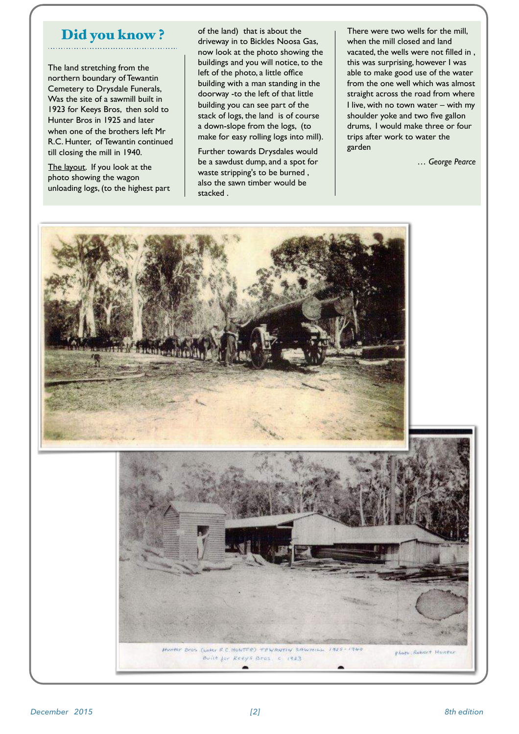### Did you know ?

The land stretching from the northern boundary of Tewantin Cemetery to Drysdale Funerals, Was the site of a sawmill built in 1923 for Keeys Bros, then sold to Hunter Bros in 1925 and later when one of the brothers left Mr R.C. Hunter, of Tewantin continued till closing the mill in 1940.

The layout. If you look at the photo showing the wagon unloading logs, (to the highest part of the land) that is about the driveway in to Bickles Noosa Gas, now look at the photo showing the buildings and you will notice, to the left of the photo, a little office building with a man standing in the doorway -to the left of that little building you can see part of the stack of logs, the land is of course a down-slope from the logs, (to make for easy rolling logs into mill).

Further towards Drysdales would be a sawdust dump, and a spot for waste stripping's to be burned , also the sawn timber would be stacked .

There were two wells for the mill, when the mill closed and land vacated, the wells were not filled in , this was surprising, however I was able to make good use of the water from the one well which was almost straight across the road from where I live, with no town water – with my shoulder yoke and two five gallon drums, I would make three or four trips after work to water the garden

*… George Pearce*

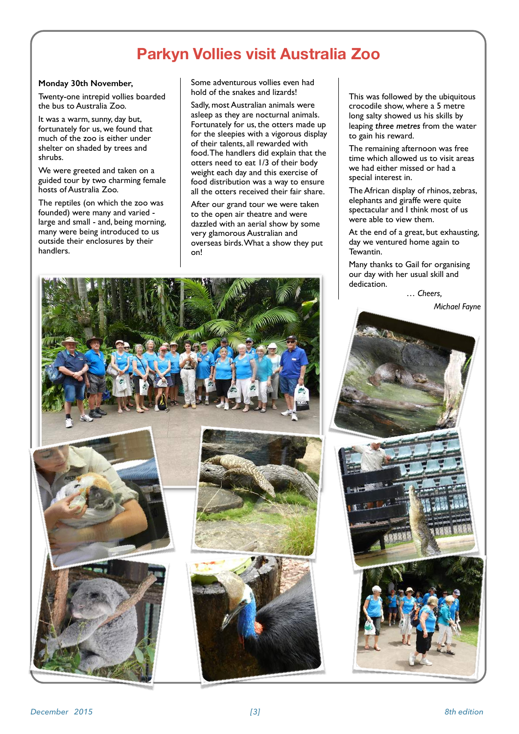# **Parkyn Vollies visit Australia Zoo**

### **Monday 30th November,**

Twenty-one intrepid vollies boarded the bus to Australia Zoo.

It was a warm, sunny, day but, fortunately for us, we found that much of the zoo is either under shelter on shaded by trees and shrubs.

We were greeted and taken on a guided tour by two charming female hosts of Australia Zoo.

The reptiles (on which the zoo was founded) were many and varied large and small - and, being morning, many were being introduced to us outside their enclosures by their handlers.

Some adventurous vollies even had hold of the snakes and lizards!

Sadly, most Australian animals were asleep as they are nocturnal animals. Fortunately for us, the otters made up for the sleepies with a vigorous display of their talents, all rewarded with food. The handlers did explain that the otters need to eat 1/3 of their body weight each day and this exercise of food distribution was a way to ensure all the otters received their fair share.

After our grand tour we were taken to the open air theatre and were dazzled with an aerial show by some very glamorous Australian and overseas birds. What a show they put on!

This was followed by the ubiquitous crocodile show, where a 5 metre long salty showed us his skills by leaping *three metres* from the water to gain his reward.

The remaining afternoon was free time which allowed us to visit areas we had either missed or had a special interest in.

The African display of rhinos, zebras, elephants and giraffe were quite spectacular and I think most of us were able to view them.

At the end of a great, but exhausting, day we ventured home again to Tewantin.

Many thanks to Gail for organising our day with her usual skill and dedication.

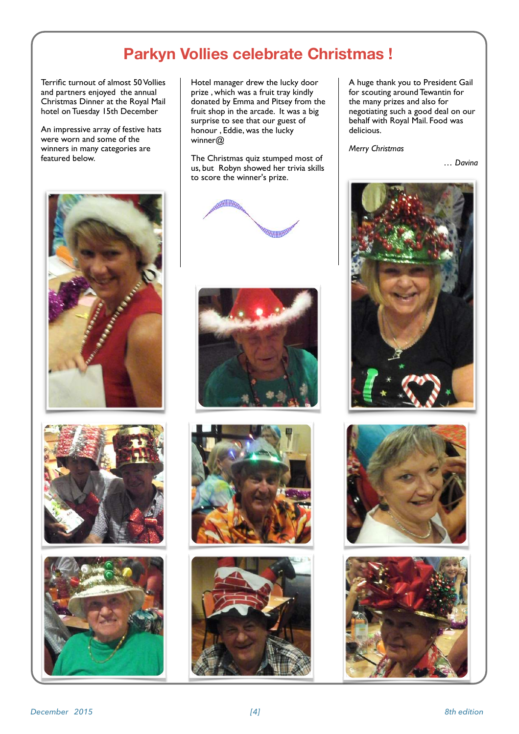# **Parkyn Vollies celebrate Christmas !**

Terrific turnout of almost 50 Vollies and partners enjoyed the annual Christmas Dinner at the Royal Mail hotel on Tuesday 15th December

An impressive array of festive hats were worn and some of the winners in many categories are featured below.







Hotel manager drew the lucky door prize , which was a fruit tray kindly donated by Emma and Pitsey from the fruit shop in the arcade. It was a big surprise to see that our guest of honour , Eddie, was the lucky winner@

The Christmas quiz stumped most of us, but Robyn showed her trivia skills to score the winner's prize.









A huge thank you to President Gail for scouting around Tewantin for the many prizes and also for negotiating such a good deal on our behalf with Royal Mail. Food was delicious.

*Merry Christmas*

*… Davina*